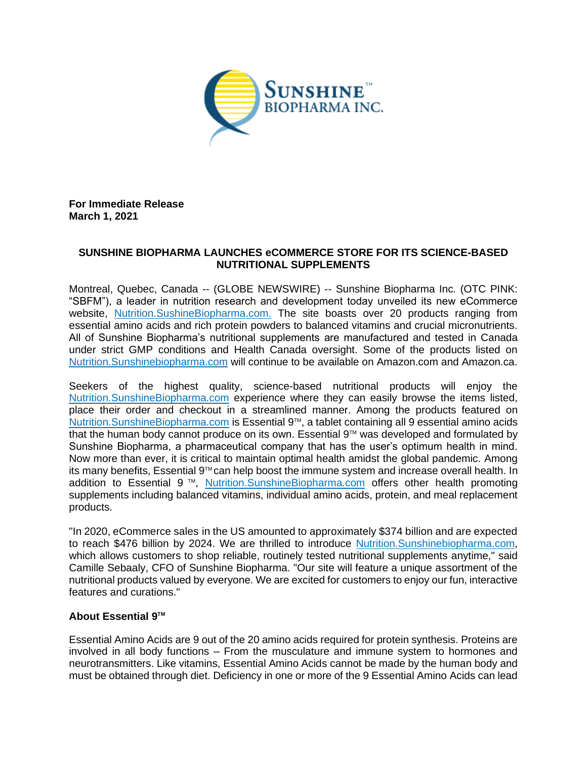

**For Immediate Release March 1, 2021**

## **SUNSHINE BIOPHARMA LAUNCHES eCOMMERCE STORE FOR ITS SCIENCE-BASED NUTRITIONAL SUPPLEMENTS**

Montreal, Quebec, Canada -- (GLOBE NEWSWIRE) -- Sunshine Biopharma Inc. (OTC PINK: "SBFM"), a leader in nutrition research and development today unveiled its new eCommerce website, Nutrition.SushineBiopharma.com. The site boasts over 20 products ranging from essential amino acids and rich protein powders to balanced vitamins and crucial micronutrients. All of Sunshine Biopharma's nutritional supplements are manufactured and tested in Canada under strict GMP conditions and Health Canada oversight. Some of the products listed on Nutrition.Sunshinebiopharma.com will continue to be available on Amazon.com and Amazon.ca.

Seekers of the highest quality, science-based nutritional products will enjoy the Nutrition.SunshineBiopharma.com experience where they can easily browse the items listed, place their order and checkout in a streamlined manner. Among the products featured on Nutrition.SunshineBiopharma.com is Essential 9™, a tablet containing all 9 essential amino acids that the human body cannot produce on its own. Essential 9<sup>™</sup> was developed and formulated by Sunshine Biopharma, a pharmaceutical company that has the user's optimum health in mind. Now more than ever, it is critical to maintain optimal health amidst the global pandemic. Among its many benefits, Essential 9™ can help boost the immune system and increase overall health. In addition to Essential 9<sup>™</sup>, Nutrition.SunshineBiopharma.com offers other health promoting supplements including balanced vitamins, individual amino acids, protein, and meal replacement products.

"In 2020, eCommerce sales in the US amounted to approximately \$374 billion and are expected to reach \$476 billion by 2024. We are thrilled to introduce Nutrition.Sunshinebiopharma.com, which allows customers to shop reliable, routinely tested nutritional supplements anytime," said Camille Sebaaly, CFO of Sunshine Biopharma. "Our site will feature a unique assortment of the nutritional products valued by everyone. We are excited for customers to enjoy our fun, interactive features and curations."

## **About Essential 9TM**

Essential Amino Acids are 9 out of the 20 amino acids required for protein synthesis. Proteins are involved in all body functions – From the musculature and immune system to hormones and neurotransmitters. Like vitamins, Essential Amino Acids cannot be made by the human body and must be obtained through diet. Deficiency in one or more of the 9 Essential Amino Acids can lead